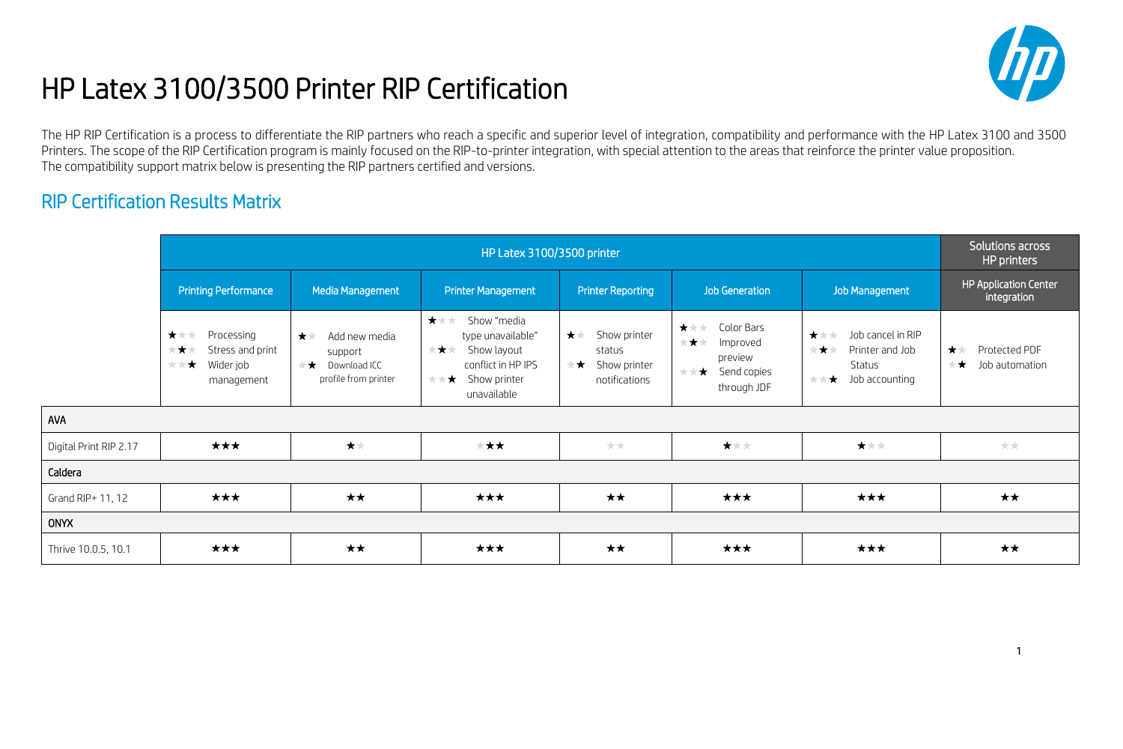## HP Latex 3100/3500 Printer RIP Certification



The HP RIP Certification is a process to differentiate the RIP partners who reach a specific and superior level of integration, compatibility and performance with the HP Latex 3100 and 3500 Printers. The scope of the RIP Certification program is mainly focused on the RIP-to-printer integration, with special attention to the areas that reinforce the printer value proposition. The compatibility support matrix below is presenting the RIP partners certified and versions.

## RIP Certification Results Matrix

AVA

ONYX

|                        | HP Latex 3100/3500 printer                                                      |                                                                                     |                                                                                                                                        |                                                                       |                                                                                      |                                                                                              | Solutions across<br>HP printers                  |
|------------------------|---------------------------------------------------------------------------------|-------------------------------------------------------------------------------------|----------------------------------------------------------------------------------------------------------------------------------------|-----------------------------------------------------------------------|--------------------------------------------------------------------------------------|----------------------------------------------------------------------------------------------|--------------------------------------------------|
|                        | <b>Printing Performance</b>                                                     | Media Management                                                                    | <b>Printer Management</b>                                                                                                              | <b>Printer Reporting</b>                                              | <b>Job Generation</b>                                                                | <b>Job Management</b>                                                                        | HP Application Center<br>integration             |
|                        | ★★★<br>Processing<br>Stress and print<br>★★★<br>Wider job<br>大大大!<br>management | 大大<br>Add new media<br>support<br>$\mathbf{r}$ Download ICC<br>profile from printer | ***<br>Show "media<br>type unavailable"<br>Show layout<br>大大大<br>conflict in HP IPS<br>$\star \star \star$ Show printer<br>unavailable | 大大<br>Show printer<br>status<br>$\star$ Show printer<br>notifications | ***<br>Color Bars<br>***<br>Improved<br>preview<br>Send copies<br>大大大<br>through JDF | ***<br>Job cancel in RIP<br>Printer and Job<br>★★★<br>Status<br>大门<br>$\star$ Job accounting | 大大<br>Protected PDF<br>Job automation<br>$\star$ |
| AVA                    |                                                                                 |                                                                                     |                                                                                                                                        |                                                                       |                                                                                      |                                                                                              |                                                  |
| Digital Print RIP 2.17 | ★★★                                                                             | 大大                                                                                  | ★★★                                                                                                                                    | **                                                                    | 大大大                                                                                  | ***                                                                                          | **                                               |
| Caldera                |                                                                                 |                                                                                     |                                                                                                                                        |                                                                       |                                                                                      |                                                                                              |                                                  |
| Grand RIP+ 11, 12      | ***                                                                             | $\star\star$                                                                        | ***                                                                                                                                    | **                                                                    | ***                                                                                  | ***                                                                                          | ★★                                               |
| <b>ONYX</b>            |                                                                                 |                                                                                     |                                                                                                                                        |                                                                       |                                                                                      |                                                                                              |                                                  |
| Thrive 10.0.5, 10.1    | ★★★                                                                             | $\star\star$                                                                        | ★★★                                                                                                                                    | ★★                                                                    | ★★★                                                                                  | ★★★                                                                                          | ★★                                               |